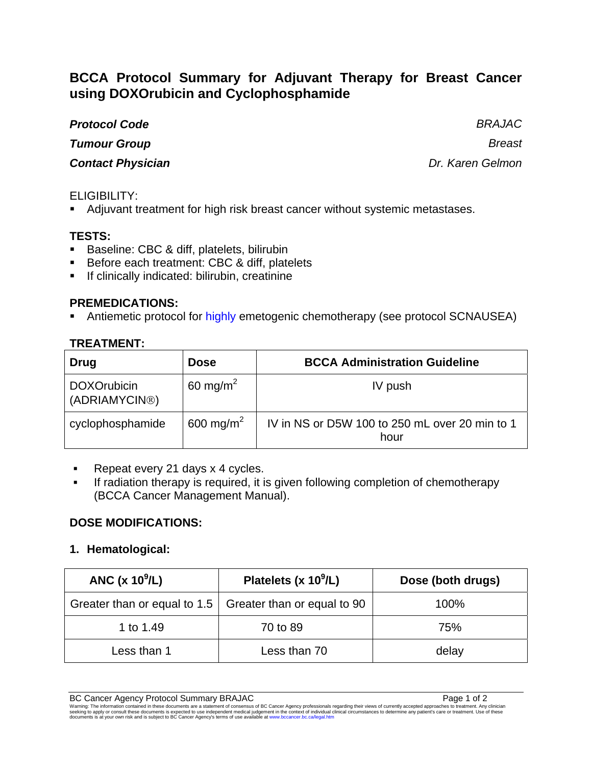# **BCCA Protocol Summary for Adjuvant Therapy for Breast Cancer using DOXOrubicin and Cyclophosphamide**

#### *Protocol Code BRAJAC*

*Tumour Group Breast*

# *Contact Physician Dr. Karen Gelmon*

# ELIGIBILITY:

Adjuvant treatment for high risk breast cancer without systemic metastases.

# **TESTS:**

- **Baseline: CBC & diff, platelets, bilirubin**
- Before each treatment: CBC & diff, platelets
- **If clinically indicated: bilirubin, creatinine**

#### **PREMEDICATIONS:**

Antiemetic protocol for highly emetogenic chemotherapy (see protocol SCNAUSEA)

# **TREATMENT:**

| <b>Drug</b>                         | <b>Dose</b>           | <b>BCCA Administration Guideline</b>                   |
|-------------------------------------|-----------------------|--------------------------------------------------------|
| <b>DOXOrubicin</b><br>(ADRIAMYCIN®) | 60 mg/m <sup>2</sup>  | IV push                                                |
| cyclophosphamide                    | 600 mg/m <sup>2</sup> | IV in NS or D5W 100 to 250 mL over 20 min to 1<br>hour |

- Repeat every 21 days x 4 cycles.
- **If radiation therapy is required, it is given following completion of chemotherapy** (BCCA Cancer Management Manual).

### **DOSE MODIFICATIONS:**

### **1. Hematological:**

| ANC $(x 10^9/L)$                                                 | Platelets (x $10^9$ /L) | Dose (both drugs) |
|------------------------------------------------------------------|-------------------------|-------------------|
| Greater than or equal to 1.5 $\vert$ Greater than or equal to 90 |                         | 100%              |
| 1 to 1.49                                                        | 70 to 89                | 75%               |
| Less than 1                                                      | Less than 70            | delay             |

BC Cancer Agency Protocol Summary BRAJAC<br>Warning: The information contained in these documents are a statement of consensus of BC Cancer Agency professionals regarding their views of currently accepted approaches to treatm